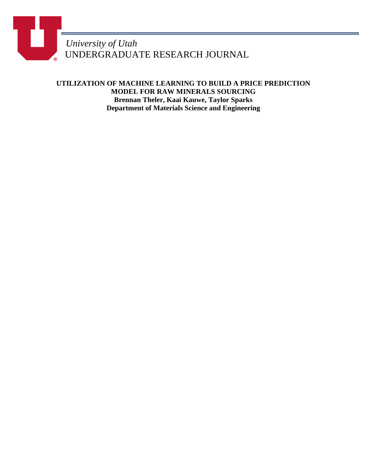*University of Utah* UNDERGRADUATE RESEARCH JOURNAL

**UTILIZATION OF MACHINE LEARNING TO BUILD A PRICE PREDICTION MODEL FOR RAW MINERALS SOURCING Brennan Theler, Kaai Kauwe, Taylor Sparks Department of Materials Science and Engineering**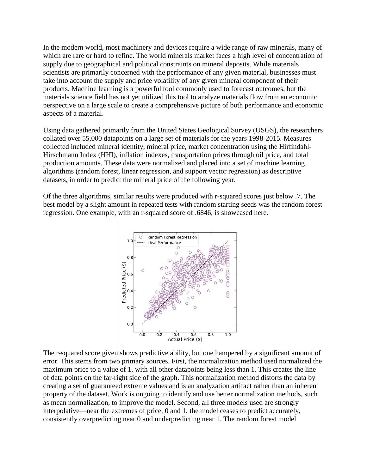In the modern world, most machinery and devices require a wide range of raw minerals, many of which are rare or hard to refine. The world minerals market faces a high level of concentration of supply due to geographical and political constraints on mineral deposits. While materials scientists are primarily concerned with the performance of any given material, businesses must take into account the supply and price volatility of any given mineral component of their products. Machine learning is a powerful tool commonly used to forecast outcomes, but the materials science field has not yet utilized this tool to analyze materials flow from an economic perspective on a large scale to create a comprehensive picture of both performance and economic aspects of a material.

Using data gathered primarily from the United States Geological Survey (USGS), the researchers collated over 55,000 datapoints on a large set of materials for the years 1998-2015. Measures collected included mineral identity, mineral price, market concentration using the Hirfindahl-Hirschmann Index (HHI), inflation indexes, transportation prices through oil price, and total production amounts. These data were normalized and placed into a set of machine learning algorithms (random forest, linear regression, and support vector regression) as descriptive datasets, in order to predict the mineral price of the following year.

Of the three algorithms, similar results were produced with r-squared scores just below .7. The best model by a slight amount in repeated tests with random starting seeds was the random forest regression. One example, with an r-squared score of .6846, is showcased here.



The r-squared score given shows predictive ability, but one hampered by a significant amount of error. This stems from two primary sources. First, the normalization method used normalized the maximum price to a value of 1, with all other datapoints being less than 1. This creates the line of data points on the far-right side of the graph. This normalization method distorts the data by creating a set of guaranteed extreme values and is an analyzation artifact rather than an inherent property of the dataset. Work is ongoing to identify and use better normalization methods, such as mean normalization, to improve the model. Second, all three models used are strongly interpolative—near the extremes of price, 0 and 1, the model ceases to predict accurately, consistently overpredicting near 0 and underpredicting near 1. The random forest model